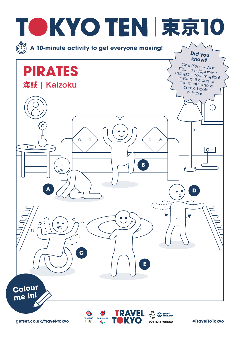